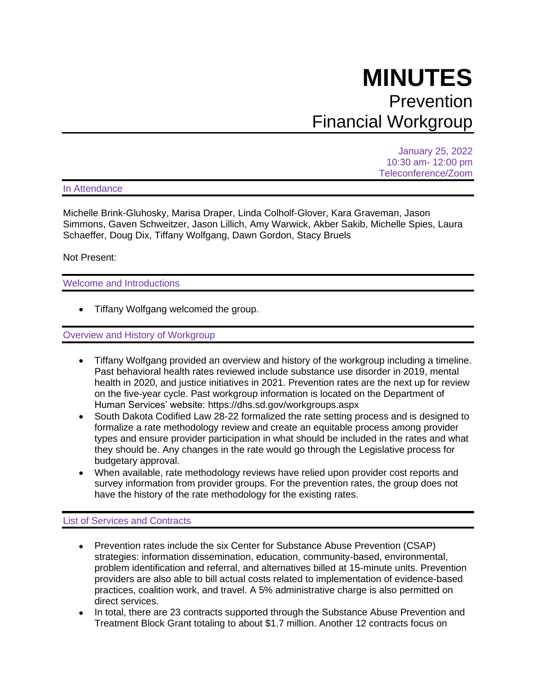## **MINUTES** Prevention Financial Workgroup

January 25, 2022 10:30 am- 12:00 pm Teleconference/Zoom

In Attendance

Michelle Brink-Gluhosky, Marisa Draper, Linda Colholf-Glover, Kara Graveman, Jason Simmons, Gaven Schweitzer, Jason Lillich, Amy Warwick, Akber Sakib, Michelle Spies, Laura Schaeffer, Doug Dix, Tiffany Wolfgang, Dawn Gordon, Stacy Bruels

Not Present:

Welcome and Introductions

• Tiffany Wolfgang welcomed the group.

Overview and History of Workgroup

- Tiffany Wolfgang provided an overview and history of the workgroup including a timeline. Past behavioral health rates reviewed include substance use disorder in 2019, mental health in 2020, and justice initiatives in 2021. Prevention rates are the next up for review on the five-year cycle. Past workgroup information is located on the Department of Human Services' website: https://dhs.sd.gov/workgroups.aspx
- South Dakota Codified Law 28-22 formalized the rate setting process and is designed to formalize a rate methodology review and create an equitable process among provider types and ensure provider participation in what should be included in the rates and what they should be. Any changes in the rate would go through the Legislative process for budgetary approval.
- When available, rate methodology reviews have relied upon provider cost reports and survey information from provider groups. For the prevention rates, the group does not have the history of the rate methodology for the existing rates.

## List of Services and Contracts

- Prevention rates include the six Center for Substance Abuse Prevention (CSAP) strategies: information dissemination, education, community-based, environmental, problem identification and referral, and alternatives billed at 15-minute units. Prevention providers are also able to bill actual costs related to implementation of evidence-based practices, coalition work, and travel. A 5% administrative charge is also permitted on direct services.
- In total, there are 23 contracts supported through the Substance Abuse Prevention and Treatment Block Grant totaling to about \$1.7 million. Another 12 contracts focus on